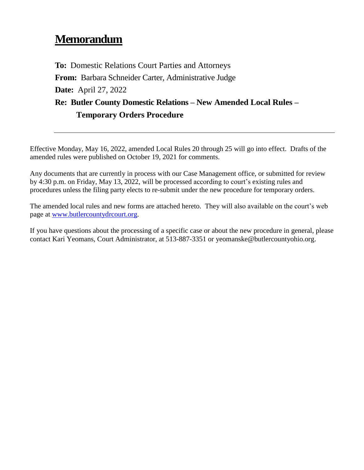# **Memorandum**

**To:** Domestic Relations Court Parties and Attorneys **From:** Barbara Schneider Carter, Administrative Judge **Date:** April 27, 2022 **Re: Butler County Domestic Relations – New Amended Local Rules – Temporary Orders Procedure**

Effective Monday, May 16, 2022, amended Local Rules 20 through 25 will go into effect. Drafts of the amended rules were published on October 19, 2021 for comments.

Any documents that are currently in process with our Case Management office, or submitted for review by 4:30 p.m. on Friday, May 13, 2022, will be processed according to court's existing rules and procedures unless the filing party elects to re-submit under the new procedure for temporary orders.

The amended local rules and new forms are attached hereto. They will also available on the court's web page at [www.butlercountydrcourt.org.](http://www.butlercountydrcourt.org/)

If you have questions about the processing of a specific case or about the new procedure in general, please contact Kari Yeomans, Court Administrator, at 513-887-3351 or yeomanske@butlercountyohio.org.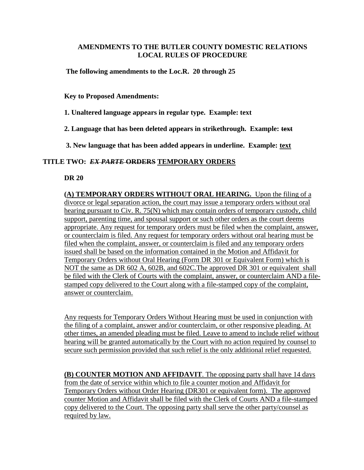## **AMENDMENTS TO THE BUTLER COUNTY DOMESTIC RELATIONS LOCAL RULES OF PROCEDURE**

**The following amendments to the Loc.R. 20 through 25** 

**Key to Proposed Amendments:** 

**1. Unaltered language appears in regular type. Example: text** 

**2. Language that has been deleted appears in strikethrough. Example: text**

**3. New language that has been added appears in underline. Example: text**

## **TITLE TWO:** *EX PARTE* **ORDERS TEMPORARY ORDERS**

**DR 20** 

**(A) TEMPORARY ORDERS WITHOUT ORAL HEARING.** Upon the filing of a divorce or legal separation action, the court may issue a temporary orders without oral hearing pursuant to Civ. R. 75(N) which may contain orders of temporary custody, child support, parenting time, and spousal support or such other orders as the court deems appropriate. Any request for temporary orders must be filed when the complaint, answer, or counterclaim is filed. Any request for temporary orders without oral hearing must be filed when the complaint, answer, or counterclaim is filed and any temporary orders issued shall be based on the information contained in the Motion and Affidavit for Temporary Orders without Oral Hearing (Form DR 301 or Equivalent Form) which is NOT the same as DR 602 A, 602B, and 602C.The approved DR 301 or equivalent shall be filed with the Clerk of Courts with the complaint, answer, or counterclaim AND a filestamped copy delivered to the Court along with a file-stamped copy of the complaint, answer or counterclaim.

Any requests for Temporary Orders Without Hearing must be used in conjunction with the filing of a complaint, answer and/or counterclaim, or other responsive pleading. At other times, an amended pleading must be filed. Leave to amend to include relief without hearing will be granted automatically by the Court with no action required by counsel to secure such permission provided that such relief is the only additional relief requested.

**(B) COUNTER MOTION AND AFFIDAVIT**. The opposing party shall have 14 days from the date of service within which to file a counter motion and Affidavit for Temporary Orders without Order Hearing (DR301 or equivalent form). The approved counter Motion and Affidavit shall be filed with the Clerk of Courts AND a file-stamped copy delivered to the Court. The opposing party shall serve the other party/counsel as required by law.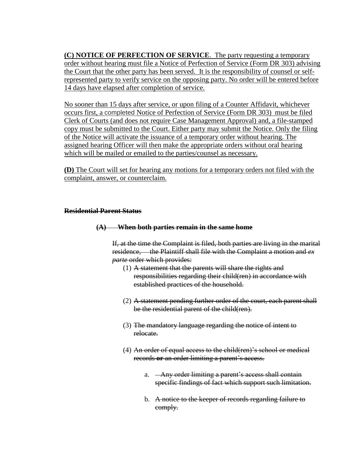**(C) NOTICE OF PERFECTION OF SERVICE**. The party requesting a temporary order without hearing must file a Notice of Perfection of Service (Form DR 303) advising the Court that the other party has been served. It is the responsibility of counsel or selfrepresented party to verify service on the opposing party. No order will be entered before 14 days have elapsed after completion of service.

No sooner than 15 days after service, or upon filing of a Counter Affidavit, whichever occurs first, a completed Notice of Perfection of Service (Form DR 303) must be filed Clerk of Courts (and does not require Case Management Approval) and, a file-stamped copy must be submitted to the Court. Either party may submit the Notice. Only the filing of the Notice will activate the issuance of a temporary order without hearing. The assigned hearing Officer will then make the appropriate orders without oral hearing which will be mailed or emailed to the parties/counsel as necessary.

**(D)** The Court will set for hearing any motions for a temporary orders not filed with the complaint, answer, or counterclaim.

## **Residential Parent Status**

## **(A) When both parties remain in the same home**

If, at the time the Complaint is filed, both parties are living in the marital residence, the Plaintiff shall file with the Complaint a motion and *ex parte* order which provides:

- (1) A statement that the parents will share the rights and responsibilities regarding their child(ren) in accordance with established practices of the household.
- (2) A statement pending further order of the court, each parent shall be the residential parent of the child(ren).
- (3) The mandatory language regarding the notice of intent to relocate.
- (4) An order of equal access to the child(ren)'s school or medical records **or** an order limiting a parent's access.
	- a. Any order limiting a parent's access shall contain specific findings of fact which support such limitation.
	- b. A notice to the keeper of records regarding failure to comply.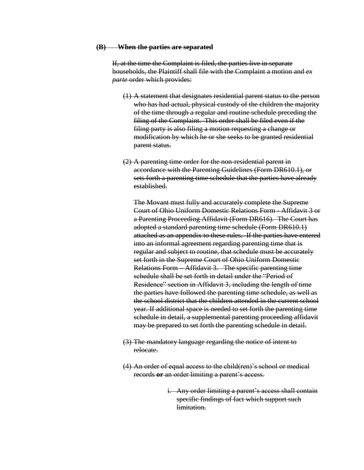#### **(B) When the parties are separated**

If, at the time the Complaint is filed, the parties live in separate households, the Plaintiff shall file with the Complaint a motion and *ex parte* order which provides:

- (1) A statement that designates residential parent status to the person who has had actual, physical custody of the children the majority of the time through a regular and routine schedule preceding the filing of the Complaint. This order shall be filed even if the filing party is also filing a motion requesting a change or modification by which he or she seeks to be granted residential parent status.
- (2) A parenting time order for the non-residential parent in accordance with the Parenting Guidelines (Form DR610.1), or sets forth a parenting time schedule that the parties have already established.

The Movant must fully and accurately complete the Supreme Court of Ohio Uniform Domestic Relations Form - Affidavit 3 or a Parenting Proceeding Affidavit (Form DR616). The Court has adopted a standard parenting time schedule (Form DR610.1) attached as an appendix to these rules. If the parties have entered into an informal agreement regarding parenting time that is regular and subject to routine, that schedule must be accurately set forth in the Supreme Court of Ohio Uniform Domestic Relations Form – Affidavit 3. The specific parenting time schedule shall be set forth in detail under the "Period of Residence" section in Affidavit 3, including the length of time the parties have followed the parenting time schedule, as well as the school district that the children attended in the current school year. If additional space is needed to set forth the parenting time schedule in detail, a supplemental parenting proceeding affidavit may be prepared to set forth the parenting schedule in detail.

- (3) The mandatory language regarding the notice of intent to relocate.
- (4) An order of equal access to the child(ren)'s school or medical records **or** an order limiting a parent's access.
	- i. Any order limiting a parent's access shall contain specific findings of fact which support such limitation.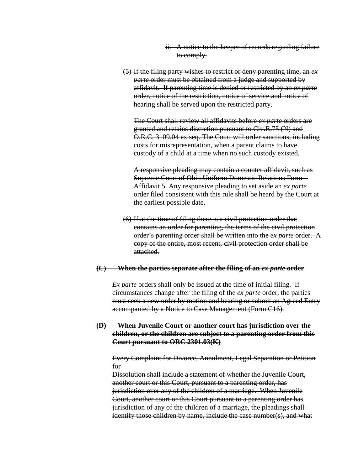- ii. A notice to the keeper of records regarding failure to comply.
- (5) If the filing party wishes to restrict or deny parenting time, an *ex parte* order must be obtained from a judge and supported by affidavit. If parenting time is denied or restricted by an *ex parte*  order, notice of the restriction, notice of service and notice of hearing shall be served upon the restricted party.

The Court shall review all affidavits before *ex parte* orders are granted and retains discretion pursuant to Civ.R.75 (N) and O.R.C. 3109.04 ex seq. The Court will order sanctions, including costs for misrepresentation, when a parent claims to have custody of a child at a time when no such custody existed.

A responsive pleading may contain a counter affidavit, such as Supreme Court of Ohio Uniform Domestic Relations Form – Affidavit 5. Any responsive pleading to set aside an *ex parte* order filed consistent with this rule shall be heard by the Court at the earliest possible date.

(6) If at the time of filing there is a civil protection order that contains an order for parenting, the terms of the civil protection order's parenting order shall be written into the *ex parte* order. A copy of the entire, most recent, civil protection order shall be attached.

#### **(C) When the parties separate after the filing of an** *ex parte* **order**

*Ex parte* orders shall only be issued at the time of initial filing. If circumstances change after the filing of the *ex parte* order, the parties must seek a new order by motion and hearing or submit an Agreed Entry accompanied by a Notice to Case Management (Form C16).

## **(D) When Juvenile Court or another court has jurisdiction over the children, or the children are subject to a parenting order from this Court pursuant to ORC 2301.03(K)**

Every Complaint for Divorce, Annulment, Legal Separation or Petition for

Dissolution shall include a statement of whether the Juvenile Court, another court or this Court, pursuant to a parenting order, has jurisdiction over any of the children of a marriage. When Juvenile Court, another court or this Court pursuant to a parenting order has jurisdiction of any of the children of a marriage, the pleadings shall identify those children by name, include the case number(s), and what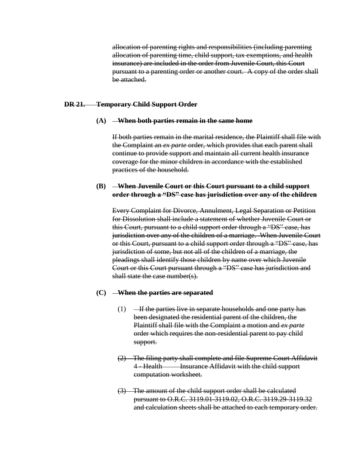allocation of parenting rights and responsibilities (including parenting allocation of parenting time, child support, tax exemptions, and health insurance) are included in the order from Juvenile Court, this Court pursuant to a parenting order or another court. A copy of the order shall be attached.

#### **DR 21. Temporary Child Support Order**

#### **(A) When both parties remain in the same home**

If both parties remain in the marital residence, the Plaintiff shall file with the Complaint an *ex parte* order, which provides that each parent shall continue to provide support and maintain all current health insurance coverage for the minor children in accordance with the established practices of the household.

#### **(B) When Juvenile Court or this Court pursuant to a child support order through a "DS" case has jurisdiction over any of the children**

Every Complaint for Divorce, Annulment, Legal Separation or Petition for Dissolution shall include a statement of whether Juvenile Court or this Court, pursuant to a child support order through a "DS" case, has jurisdiction over any of the children of a marriage. When Juvenile Court or this Court, pursuant to a child support order through a "DS" case, has jurisdiction of some, but not all of the children of a marriage, the pleadings shall identify those children by name over which Juvenile Court or this Court pursuant through a "DS" case has jurisdiction and shall state the case number(s).

#### **(C) When the parties are separated**

- $(1)$  If the parties live in separate households and one party has been designated the residential parent of the children, the Plaintiff shall file with the Complaint a motion and *ex parte* order which requires the non-residential parent to pay child support.
- (2) The filing party shall complete and file Supreme Court Affidavit 4 - Health Insurance Affidavit with the child support computation worksheet.
- (3) The amount of the child support order shall be calculated pursuant to O.R.C. 3119.01-3119.02, O.R.C. 3119.29-3119.32 and calculation sheets shall be attached to each temporary order.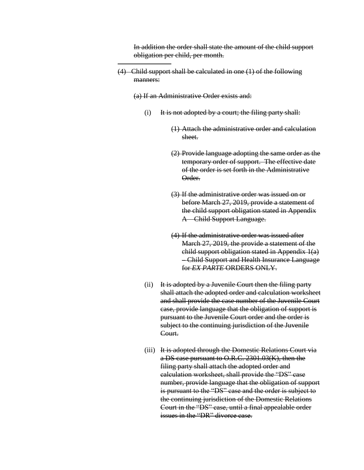In addition the order shall state the amount of the child support obligation per child, per month.

(4) Child support shall be calculated in one (1) of the following manners:

(a) If an Administrative Order exists and:

- (i) It is not adopted by a court; the filing party shall:
	- (1) Attach the administrative order and calculation sheet.
	- (2) Provide language adopting the same order as the temporary order of support. The effective date of the order is set forth in the Administrative Order.
	- (3) If the administrative order was issued on or before March 27, 2019, provide a statement of the child support obligation stated in Appendix A – Child Support Language.
	- (4) If the administrative order was issued after March 27, 2019, the provide a statement of the child support obligation stated in Appendix 1(a) – Child Support and Health Insurance Language for *EX PARTE* ORDERS ONLY.
- $(ii)$  It is adopted by a Juvenile Court then the filing party shall attach the adopted order and calculation worksheet and shall provide the case number of the Juvenile Court case, provide language that the obligation of support is pursuant to the Juvenile Court order and the order is subject to the continuing jurisdiction of the Juvenile Court.
- (iii) It is adopted through the Domestic Relations Court via a DS case pursuant to O.R.C. 2301.03(K), then the filing party shall attach the adopted order and calculation worksheet, shall provide the "DS" case number, provide language that the obligation of support is pursuant to the "DS" case and the order is subject to the continuing jurisdiction of the Domestic Relations Court in the "DS" case, until a final appealable order issues in the "DR" divorce case.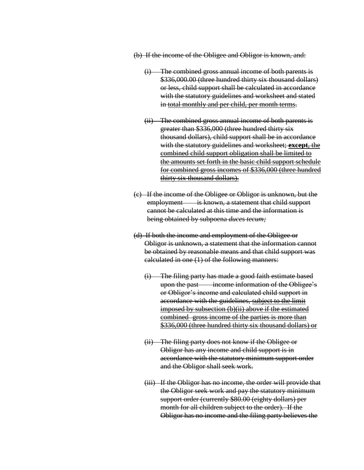(b) If the income of the Obligee and Obligor is known, and:

- (i) The combined gross annual income of both parents is \$336,000.00 (three hundred thirty six thousand dollars) or less, child support shall be calculated in accordance with the statutory guidelines and worksheet and stated in total monthly and per child, per month terms.
- (ii) The combined gross annual income of both parents is greater than \$336,000 (three hundred thirty six thousand dollars), child support shall be in accordance with the statutory guidelines and worksheet; **except**, the combined child support obligation shall be limited to the amounts set forth in the basic child support schedule for combined gross incomes of \$336,000 (three hundred thirty six thousand dollars).
- (c) If the income of the Obligee or Obligor is unknown, but the employment is known, a statement that child support cannot be calculated at this time and the information is being obtained by subpoena *duces tecum;*
- (d) If both the income and employment of the Obligee or Obligor is unknown, a statement that the information cannot be obtained by reasonable means and that child support was calculated in one (1) of the following manners:
	- (i) The filing party has made a good faith estimate based upon the past income information of the Obligee's or Obligor's income and calculated child support in accordance with the guidelines, subject to the limit imposed by subsection (b)(ii) above if the estimated combined gross income of the parties is more than \$336,000 (three hundred thirty six thousand dollars) or
	- (ii) The filing party does not know if the Obligee or Obligor has any income and child support is in accordance with the statutory minimum support order and the Obligor shall seek work.
	- (iii) If the Obligor has no income, the order will provide that the Obligor seek work and pay the statutory minimum support order (currently \$80.00 (eighty dollars) per month for all children subject to the order). If the Obligor has no income and the filing party believes the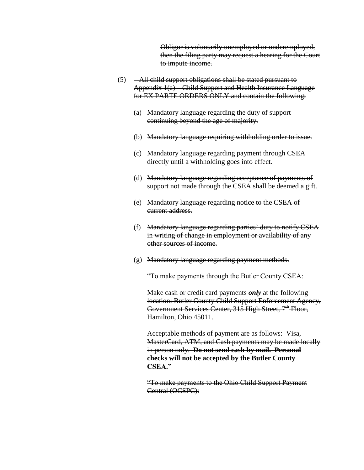Obligor is voluntarily unemployed or underemployed, then the filing party may request a hearing for the Court to impute income.

- (5) All child support obligations shall be stated pursuant to Appendix 1(a) – Child Support and Health Insurance Language for EX PARTE ORDERS ONLY and contain the following:
	- (a) Mandatory language regarding the duty of support continuing beyond the age of majority.
	- (b) Mandatory language requiring withholding order to issue.
	- (c) Mandatory language regarding payment through CSEA directly until a withholding goes into effect.
	- (d) Mandatory language regarding acceptance of payments of support not made through the CSEA shall be deemed a gift.
	- (e) Mandatory language regarding notice to the CSEA of current address.
	- (f) Mandatory language regarding parties' duty to notify CSEA in writing of change in employment or availability of any other sources of income.
	- (g) Mandatory language regarding payment methods.

"To make payments through the Butler County CSEA:

Make cash or credit card payments *only* at the following location: Butler County Child Support Enforcement Agency, Government Services Center, 315 High Street, 7<sup>th</sup> Floor, Hamilton, Ohio 45011.

Acceptable methods of payment are as follows: Visa, MasterCard, ATM, and Cash payments may be made locally in person only. **Do not send cash by mail. Personal checks will not be accepted by the Butler County CSEA."**

"To make payments to the Ohio Child Support Payment Central (OCSPC):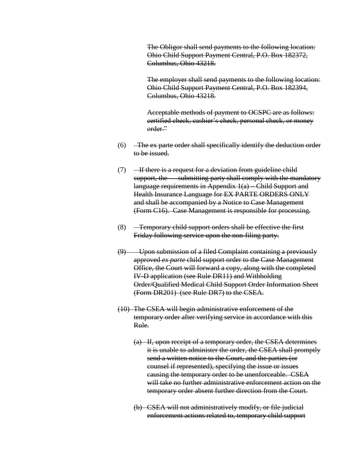The Obligor shall send payments to the following location: Ohio Child Support Payment Central, P.O. Box 182372, Columbus, Ohio 43218.

The employer shall send payments to the following location: Ohio Child Support Payment Central, P.O. Box 182394, Columbus, Ohio 43218.

Acceptable methods of payment to OCSPC are as follows: certified check, cashier's check, personal check, or money order."

- $(6)$  -The ex-parte order shall specifically identify the deduction order to be issued.
- $(7)$  If there is a request for a deviation from guideline child support, the submitting party shall comply with the mandatory language requirements in Appendix 1(a) – Child Support and Health Insurance Language for EX PARTE ORDERS ONLY and shall be accompanied by a Notice to Case Management (Form C16). Case Management is responsible for processing.
- (8) Temporary child support orders shall be effective the first Friday following service upon the non-filing party.
- (9) Upon submission of a filed Complaint containing a previously approved *ex parte* child support order to the Case Management Office, the Court will forward a copy, along with the completed IV-D application (see Rule DR11) and Withholding Order/Qualified Medical Child Support Order Information Sheet (Form DR201) (see Rule DR7) to the CSEA.
- (10) The CSEA will begin administrative enforcement of the temporary order after verifying service in accordance with this Rule.
	- (a) If, upon receipt of a temporary order, the CSEA determines it is unable to administer the order, the CSEA shall promptly send a written notice to the Court, and the parties (or counsel if represented), specifying the issue or issues causing the temporary order to be unenforceable. CSEA will take no further administrative enforcement action on the temporary order absent further direction from the Court.
	- (b) CSEA will not administratively modify, or file judicial enforcement actions related to, temporary child support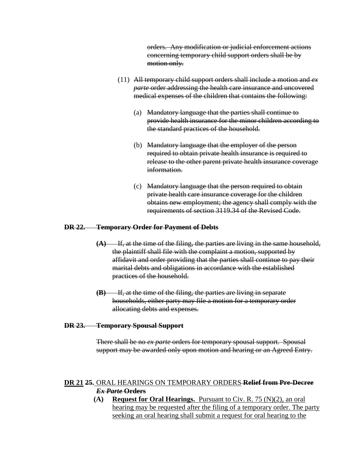orders. Any modification or judicial enforcement actions concerning temporary child support orders shall be by motion only.

- (11) All temporary child support orders shall include a motion and *ex parte* order addressing the health care insurance and uncovered medical expenses of the children that contains the following:
	- (a) Mandatory language that the parties shall continue to provide health insurance for the minor children according to the standard practices of the household.
	- (b) Mandatory language that the employer of the person required to obtain private health insurance is required to release to the other parent private health insurance coverage information.
	- (c) Mandatory language that the person required to obtain private health care insurance coverage for the children obtains new employment; the agency shall comply with the requirements of section 3119.34 of the Revised Code.

## **DR 22. Temporary Order for Payment of Debts**

- **(A)** If, at the time of the filing, the parties are living in the same household, the plaintiff shall file with the complaint a motion, supported by affidavit and order providing that the parties shall continue to pay their marital debts and obligations in accordance with the established practices of the household.
- **(B)** If, at the time of the filing, the parties are living in separate households, either party may file a motion for a temporary order allocating debts and expenses.

#### **DR 23. Temporary Spousal Support**

There shall be no *ex parte* orders for temporary spousal support. Spousal support may be awarded only upon motion and hearing or an Agreed Entry.

## **DR 21 25.** ORAL HEARINGS ON TEMPORARY ORDERS **Relief from Pre-Decree**  *Ex Parte* **Orders**

**(A) Request for Oral Hearings.** Pursuant to Civ. R. 75 (N)(2), an oral hearing may be requested after the filing of a temporary order. The party seeking an oral hearing shall submit a request for oral hearing to the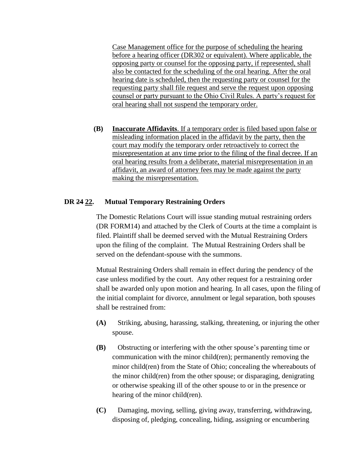Case Management office for the purpose of scheduling the hearing before a hearing officer (DR302 or equivalent). Where applicable, the opposing party or counsel for the opposing party, if represented, shall also be contacted for the scheduling of the oral hearing. After the oral hearing date is scheduled, then the requesting party or counsel for the requesting party shall file request and serve the request upon opposing counsel or party pursuant to the Ohio Civil Rules. A party's request for oral hearing shall not suspend the temporary order.

**(B) Inaccurate Affidavits**. If a temporary order is filed based upon false or misleading information placed in the affidavit by the party, then the court may modify the temporary order retroactively to correct the misrepresentation at any time prior to the filing of the final decree. If an oral hearing results from a deliberate, material misrepresentation in an affidavit, an award of attorney fees may be made against the party making the misrepresentation.

## **DR 24 22. Mutual Temporary Restraining Orders**

The Domestic Relations Court will issue standing mutual restraining orders (DR FORM14) and attached by the Clerk of Courts at the time a complaint is filed. Plaintiff shall be deemed served with the Mutual Restraining Orders upon the filing of the complaint. The Mutual Restraining Orders shall be served on the defendant-spouse with the summons.

Mutual Restraining Orders shall remain in effect during the pendency of the case unless modified by the court. Any other request for a restraining order shall be awarded only upon motion and hearing. In all cases, upon the filing of the initial complaint for divorce, annulment or legal separation, both spouses shall be restrained from:

- **(A)** Striking, abusing, harassing, stalking, threatening, or injuring the other spouse.
- **(B)** Obstructing or interfering with the other spouse's parenting time or communication with the minor child(ren); permanently removing the minor child(ren) from the State of Ohio; concealing the whereabouts of the minor child(ren) from the other spouse; or disparaging, denigrating or otherwise speaking ill of the other spouse to or in the presence or hearing of the minor child(ren).
- **(C)** Damaging, moving, selling, giving away, transferring, withdrawing, disposing of, pledging, concealing, hiding, assigning or encumbering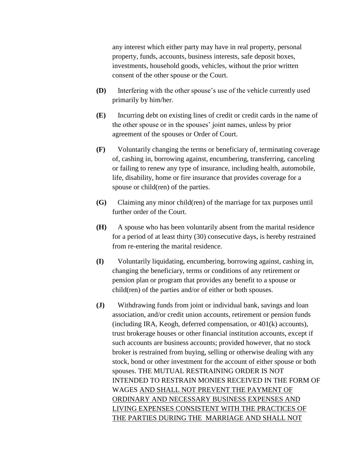any interest which either party may have in real property, personal property, funds, accounts, business interests, safe deposit boxes, investments, household goods, vehicles, without the prior written consent of the other spouse or the Court.

- **(D)** Interfering with the other spouse's use of the vehicle currently used primarily by him/her.
- **(E)** Incurring debt on existing lines of credit or credit cards in the name of the other spouse or in the spouses' joint names, unless by prior agreement of the spouses or Order of Court.
- **(F)** Voluntarily changing the terms or beneficiary of, terminating coverage of, cashing in, borrowing against, encumbering, transferring, canceling or failing to renew any type of insurance, including health, automobile, life, disability, home or fire insurance that provides coverage for a spouse or child(ren) of the parties.
- **(G)** Claiming any minor child(ren) of the marriage for tax purposes until further order of the Court.
- **(H)** A spouse who has been voluntarily absent from the marital residence for a period of at least thirty (30) consecutive days, is hereby restrained from re-entering the marital residence.
- **(I)** Voluntarily liquidating, encumbering, borrowing against, cashing in, changing the beneficiary, terms or conditions of any retirement or pension plan or program that provides any benefit to a spouse or child(ren) of the parties and/or of either or both spouses.
- **(J)** Withdrawing funds from joint or individual bank, savings and loan association, and/or credit union accounts, retirement or pension funds (including IRA, Keogh, deferred compensation, or 401(k) accounts), trust brokerage houses or other financial institution accounts, except if such accounts are business accounts; provided however, that no stock broker is restrained from buying, selling or otherwise dealing with any stock, bond or other investment for the account of either spouse or both spouses. THE MUTUAL RESTRAINING ORDER IS NOT INTENDED TO RESTRAIN MONIES RECEIVED IN THE FORM OF WAGES AND SHALL NOT PREVENT THE PAYMENT OF ORDINARY AND NECESSARY BUSINESS EXPENSES AND LIVING EXPENSES CONSISTENT WITH THE PRACTICES OF THE PARTIES DURING THE MARRIAGE AND SHALL NOT